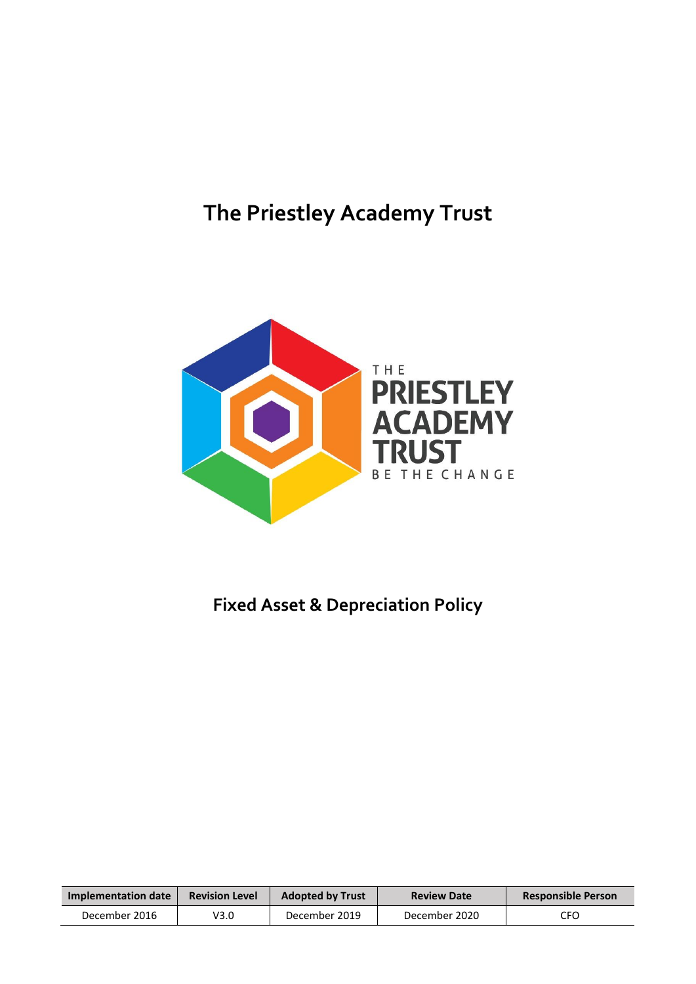# **The Priestley Academy Trust**



## **Fixed Asset & Depreciation Policy**

| Implementation date | <b>Revision Level</b> | <b>Adopted by Trust</b> | <b>Review Date</b> | <b>Responsible Person</b> |
|---------------------|-----------------------|-------------------------|--------------------|---------------------------|
| December 2016       | V3.0                  | December 2019           | December 2020      | CFO                       |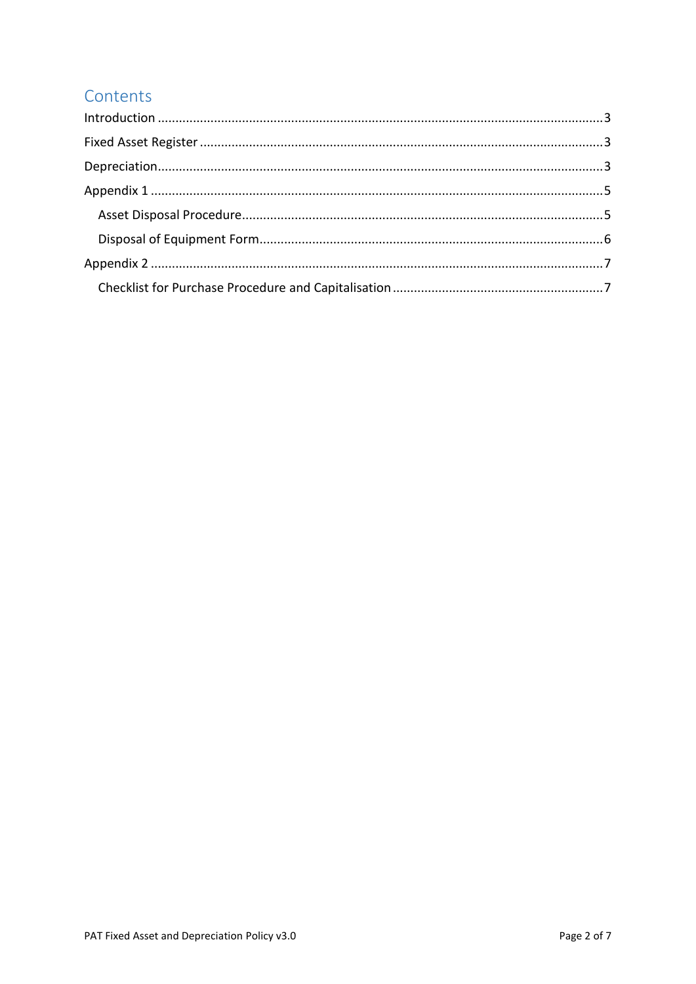## Contents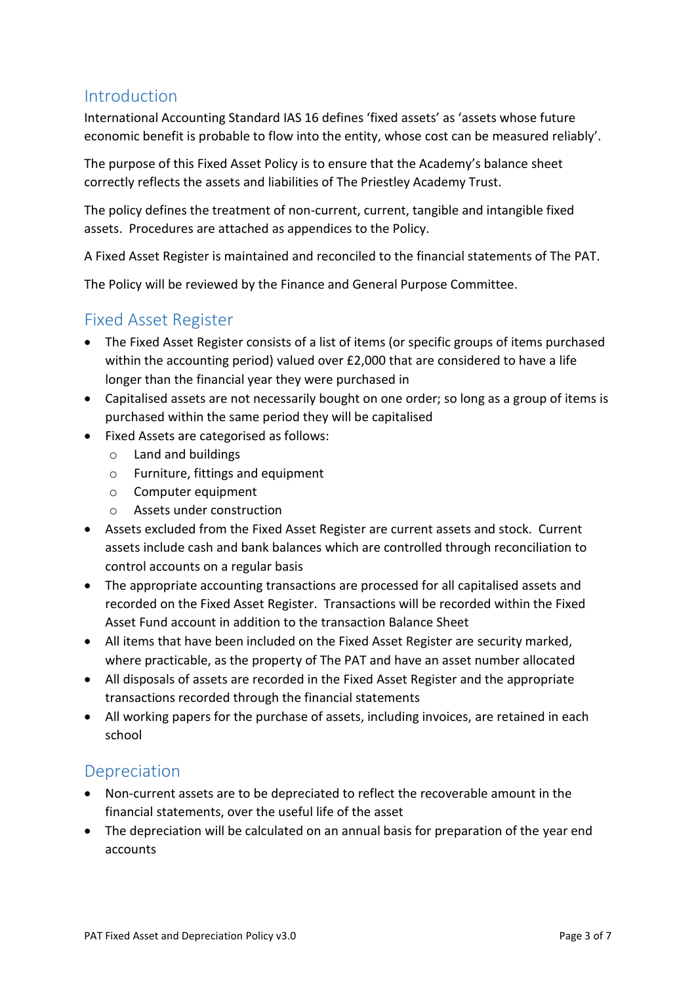#### <span id="page-2-0"></span>Introduction

International Accounting Standard IAS 16 defines 'fixed assets' as 'assets whose future economic benefit is probable to flow into the entity, whose cost can be measured reliably'.

The purpose of this Fixed Asset Policy is to ensure that the Academy's balance sheet correctly reflects the assets and liabilities of The Priestley Academy Trust.

The policy defines the treatment of non-current, current, tangible and intangible fixed assets. Procedures are attached as appendices to the Policy.

A Fixed Asset Register is maintained and reconciled to the financial statements of The PAT.

The Policy will be reviewed by the Finance and General Purpose Committee.

### <span id="page-2-1"></span>Fixed Asset Register

- The Fixed Asset Register consists of a list of items (or specific groups of items purchased within the accounting period) valued over £2,000 that are considered to have a life longer than the financial year they were purchased in
- Capitalised assets are not necessarily bought on one order; so long as a group of items is purchased within the same period they will be capitalised
- Fixed Assets are categorised as follows:
	- o Land and buildings
	- o Furniture, fittings and equipment
	- o Computer equipment
	- o Assets under construction
- Assets excluded from the Fixed Asset Register are current assets and stock. Current assets include cash and bank balances which are controlled through reconciliation to control accounts on a regular basis
- The appropriate accounting transactions are processed for all capitalised assets and recorded on the Fixed Asset Register. Transactions will be recorded within the Fixed Asset Fund account in addition to the transaction Balance Sheet
- All items that have been included on the Fixed Asset Register are security marked, where practicable, as the property of The PAT and have an asset number allocated
- All disposals of assets are recorded in the Fixed Asset Register and the appropriate transactions recorded through the financial statements
- All working papers for the purchase of assets, including invoices, are retained in each school

## <span id="page-2-2"></span>**Depreciation**

- Non-current assets are to be depreciated to reflect the recoverable amount in the financial statements, over the useful life of the asset
- The depreciation will be calculated on an annual basis for preparation of the year end accounts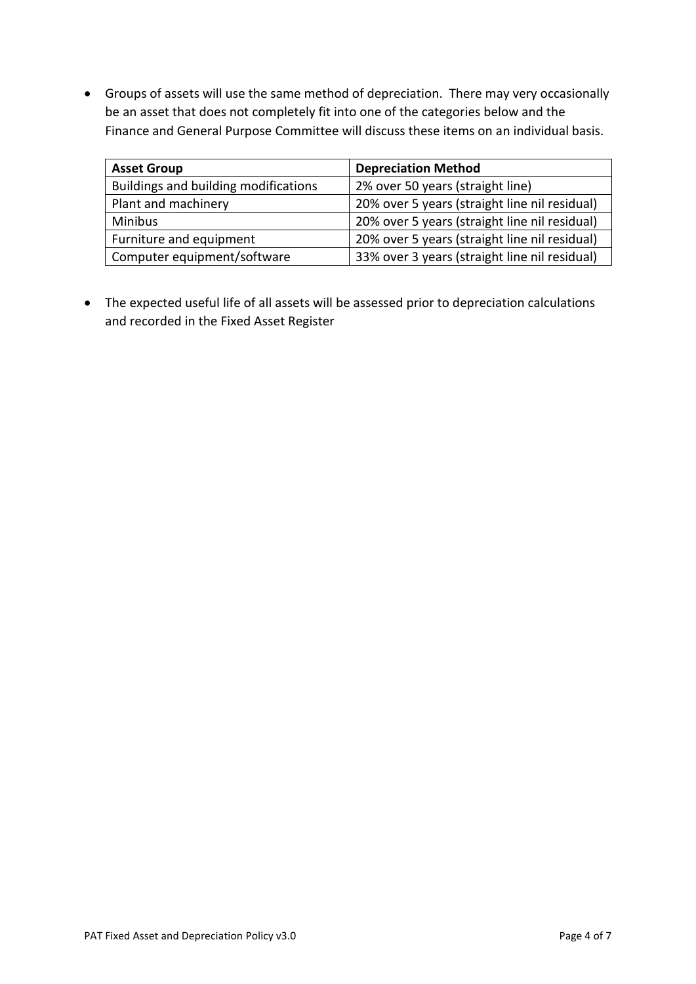Groups of assets will use the same method of depreciation. There may very occasionally be an asset that does not completely fit into one of the categories below and the Finance and General Purpose Committee will discuss these items on an individual basis.

| <b>Asset Group</b>                   | <b>Depreciation Method</b>                    |  |
|--------------------------------------|-----------------------------------------------|--|
| Buildings and building modifications | 2% over 50 years (straight line)              |  |
| Plant and machinery                  | 20% over 5 years (straight line nil residual) |  |
| <b>Minibus</b>                       | 20% over 5 years (straight line nil residual) |  |
| Furniture and equipment              | 20% over 5 years (straight line nil residual) |  |
| Computer equipment/software          | 33% over 3 years (straight line nil residual) |  |

 The expected useful life of all assets will be assessed prior to depreciation calculations and recorded in the Fixed Asset Register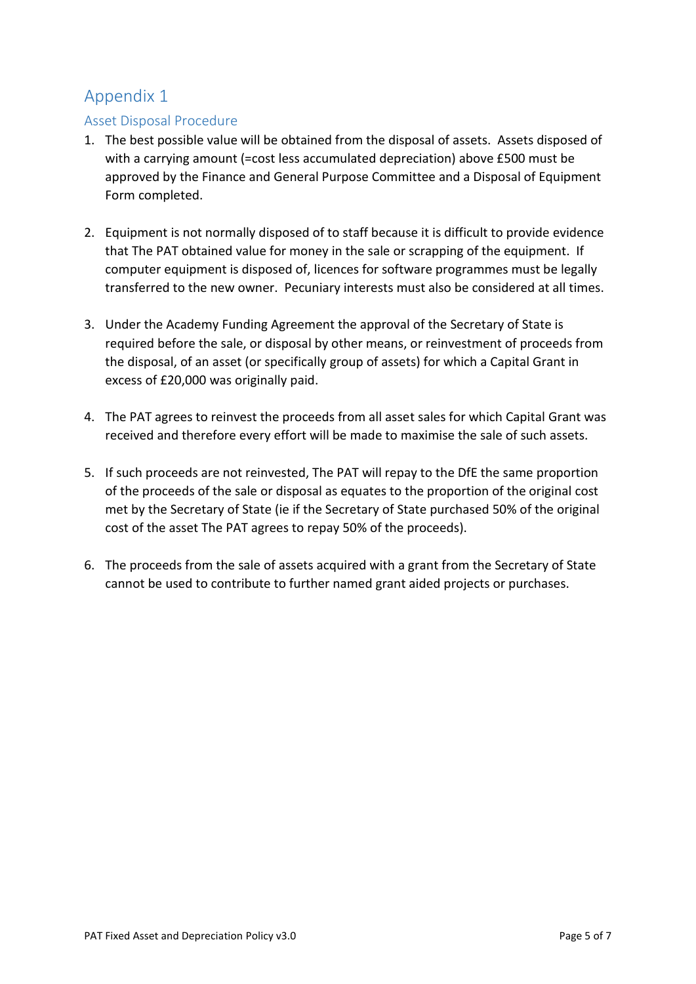### <span id="page-4-0"></span>Appendix 1

#### <span id="page-4-1"></span>Asset Disposal Procedure

- 1. The best possible value will be obtained from the disposal of assets. Assets disposed of with a carrying amount (=cost less accumulated depreciation) above £500 must be approved by the Finance and General Purpose Committee and a Disposal of Equipment Form completed.
- 2. Equipment is not normally disposed of to staff because it is difficult to provide evidence that The PAT obtained value for money in the sale or scrapping of the equipment. If computer equipment is disposed of, licences for software programmes must be legally transferred to the new owner. Pecuniary interests must also be considered at all times.
- 3. Under the Academy Funding Agreement the approval of the Secretary of State is required before the sale, or disposal by other means, or reinvestment of proceeds from the disposal, of an asset (or specifically group of assets) for which a Capital Grant in excess of £20,000 was originally paid.
- 4. The PAT agrees to reinvest the proceeds from all asset sales for which Capital Grant was received and therefore every effort will be made to maximise the sale of such assets.
- 5. If such proceeds are not reinvested, The PAT will repay to the DfE the same proportion of the proceeds of the sale or disposal as equates to the proportion of the original cost met by the Secretary of State (ie if the Secretary of State purchased 50% of the original cost of the asset The PAT agrees to repay 50% of the proceeds).
- 6. The proceeds from the sale of assets acquired with a grant from the Secretary of State cannot be used to contribute to further named grant aided projects or purchases.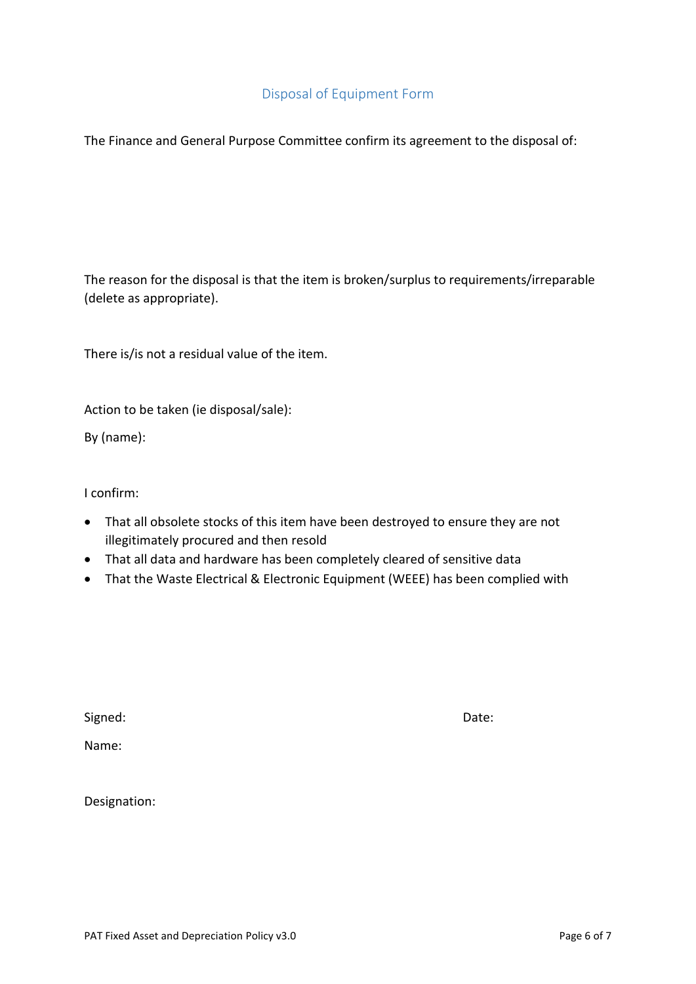#### Disposal of Equipment Form

<span id="page-5-0"></span>The Finance and General Purpose Committee confirm its agreement to the disposal of:

The reason for the disposal is that the item is broken/surplus to requirements/irreparable (delete as appropriate).

There is/is not a residual value of the item.

Action to be taken (ie disposal/sale):

By (name):

I confirm:

- That all obsolete stocks of this item have been destroyed to ensure they are not illegitimately procured and then resold
- That all data and hardware has been completely cleared of sensitive data
- That the Waste Electrical & Electronic Equipment (WEEE) has been complied with

Signed: Date:

Name:

Designation: